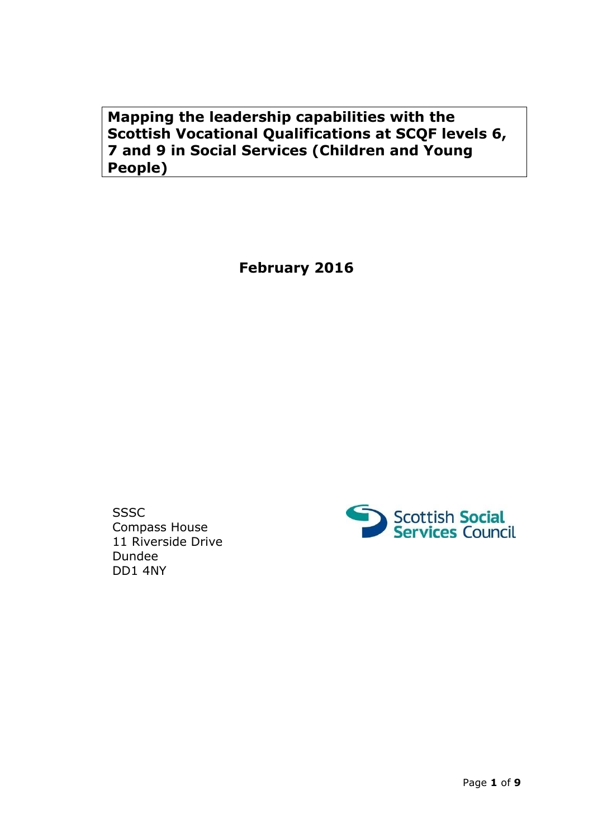**Mapping the leadership capabilities with the Scottish Vocational Qualifications at SCQF levels 6, 7 and 9 in Social Services (Children and Young People)**

**February 2016**

**SSSC** Compass House 11 Riverside Drive Dundee DD1 4NY

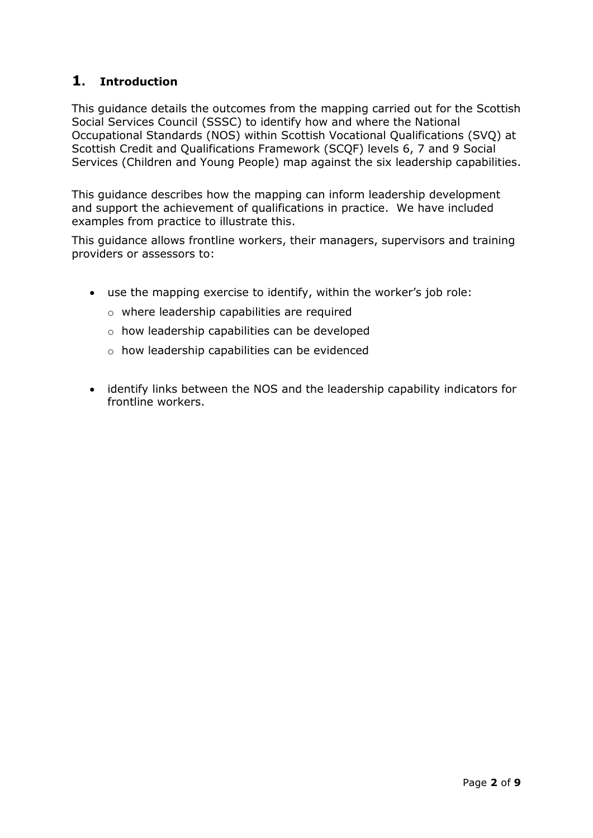# **1. Introduction**

This guidance details the outcomes from the mapping carried out for the Scottish Social Services Council (SSSC) to identify how and where the National Occupational Standards (NOS) within Scottish Vocational Qualifications (SVQ) at Scottish Credit and Qualifications Framework (SCQF) levels 6, 7 and 9 Social Services (Children and Young People) map against the six leadership capabilities.

This guidance describes how the mapping can inform leadership development and support the achievement of qualifications in practice. We have included examples from practice to illustrate this.

This guidance allows frontline workers, their managers, supervisors and training providers or assessors to:

- use the mapping exercise to identify, within the worker's job role:
	- o where leadership capabilities are required
	- o how leadership capabilities can be developed
	- o how leadership capabilities can be evidenced
- identify links between the NOS and the leadership capability indicators for frontline workers.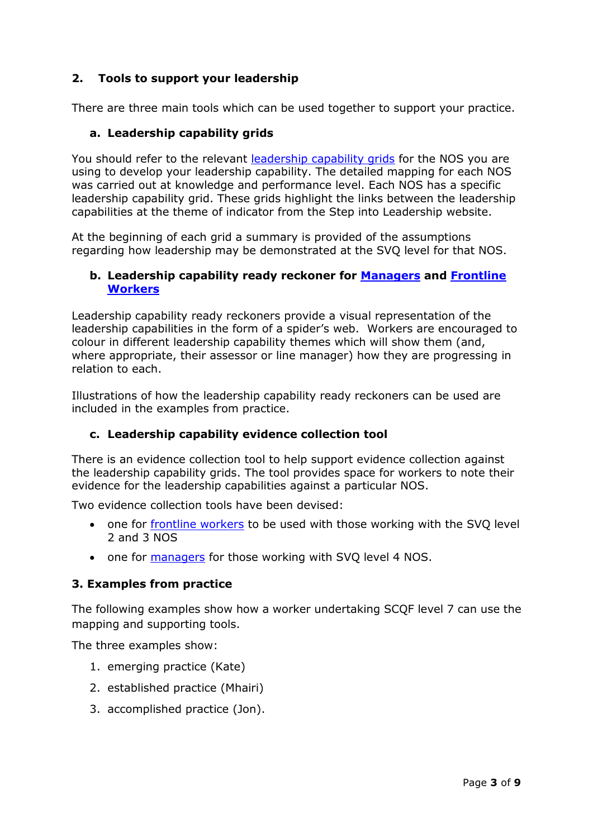## **2. Tools to support your leadership**

There are three main tools which can be used together to support your practice.

#### **a. Leadership capability grids**

You should refer to the relevant [leadership capability grids](http://stepintoleadership.info/managers_qualifications.html) for the NOS you are using to develop your leadership capability. The detailed mapping for each NOS was carried out at knowledge and performance level. Each NOS has a specific leadership capability grid. These grids highlight the links between the leadership capabilities at the theme of indicator from the Step into Leadership website.

At the beginning of each grid a summary is provided of the assumptions regarding how leadership may be demonstrated at the SVQ level for that NOS.

#### **b. Leadership capability ready reckoner for [Managers](http://stepintoleadership.info/assets/pdf/Manager-Leadership-capabily-Ready-Reckoner-CYP.docx) and [Frontline](http://stepintoleadership.info/assets/pdf/Frontline-Worker-Leadership-capabily-Ready-Reckoner-CYP.docx)  [Workers](http://stepintoleadership.info/assets/pdf/Frontline-Worker-Leadership-capabily-Ready-Reckoner-CYP.docx)**

Leadership capability ready reckoners provide a visual representation of the leadership capabilities in the form of a spider's web. Workers are encouraged to colour in different leadership capability themes which will show them (and, where appropriate, their assessor or line manager) how they are progressing in relation to each.

Illustrations of how the leadership capability ready reckoners can be used are included in the examples from practice.

#### **c. Leadership capability evidence collection tool**

There is an evidence collection tool to help support evidence collection against the leadership capability grids. The tool provides space for workers to note their evidence for the leadership capabilities against a particular NOS.

Two evidence collection tools have been devised:

- one for [frontline workers](http://stepintoleadership.info/assets/pdf/Frontline-worker-LCG-evidence-collection-tool-CYP.docx) to be used with those working with the SVQ level 2 and 3 NOS
- one for [managers](http://stepintoleadership.info/assets/pdf/Manager-LCG-evidence-collection-tool-CYP.docx) for those working with SVQ level 4 NOS.

#### **3. Examples from practice**

The following examples show how a worker undertaking SCQF level 7 can use the mapping and supporting tools.

The three examples show:

- 1. emerging practice (Kate)
- 2. established practice (Mhairi)
- 3. accomplished practice (Jon).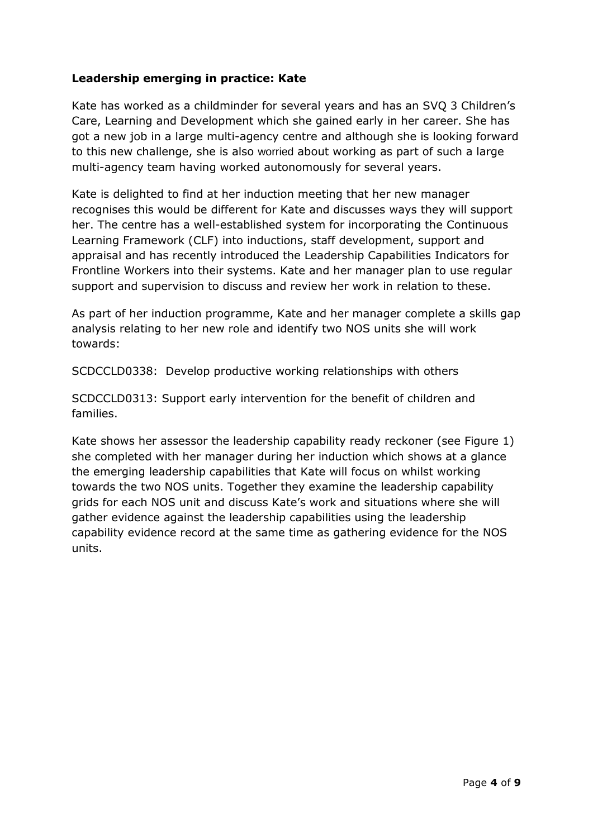## **Leadership emerging in practice: Kate**

Kate has worked as a childminder for several years and has an SVQ 3 Children's Care, Learning and Development which she gained early in her career. She has got a new job in a large multi-agency centre and although she is looking forward to this new challenge, she is also worried about working as part of such a large multi-agency team having worked autonomously for several years.

Kate is delighted to find at her induction meeting that her new manager recognises this would be different for Kate and discusses ways they will support her. The centre has a well-established system for incorporating the Continuous Learning Framework (CLF) into inductions, staff development, support and appraisal and has recently introduced the Leadership Capabilities Indicators for Frontline Workers into their systems. Kate and her manager plan to use regular support and supervision to discuss and review her work in relation to these.

As part of her induction programme, Kate and her manager complete a skills gap analysis relating to her new role and identify two NOS units she will work towards:

SCDCCLD0338: Develop productive working relationships with others

SCDCCLD0313: Support early intervention for the benefit of children and families.

Kate shows her assessor the leadership capability ready reckoner (see Figure 1) she completed with her manager during her induction which shows at a glance the emerging leadership capabilities that Kate will focus on whilst working towards the two NOS units. Together they examine the leadership capability grids for each NOS unit and discuss Kate's work and situations where she will gather evidence against the leadership capabilities using the leadership capability evidence record at the same time as gathering evidence for the NOS units.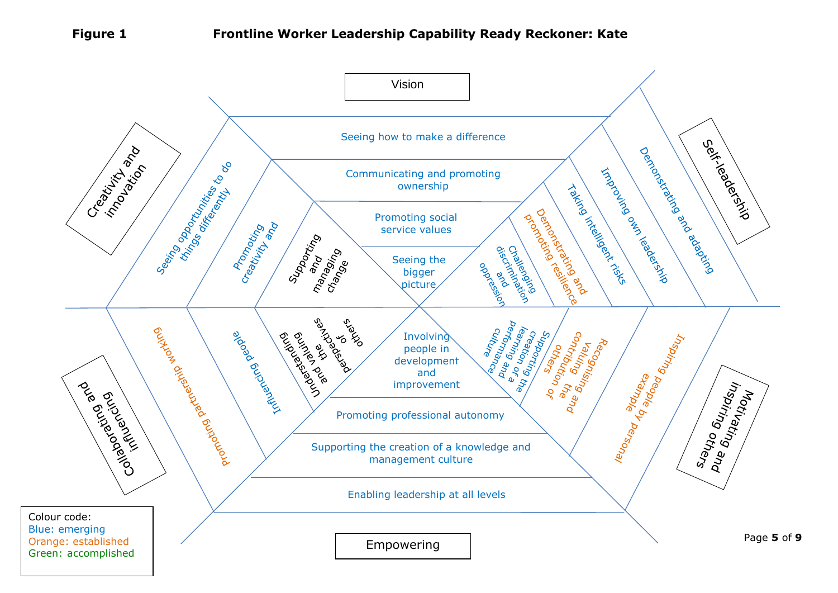### **Figure 1 Frontline Worker Leadership Capability Ready Reckoner: Kate**

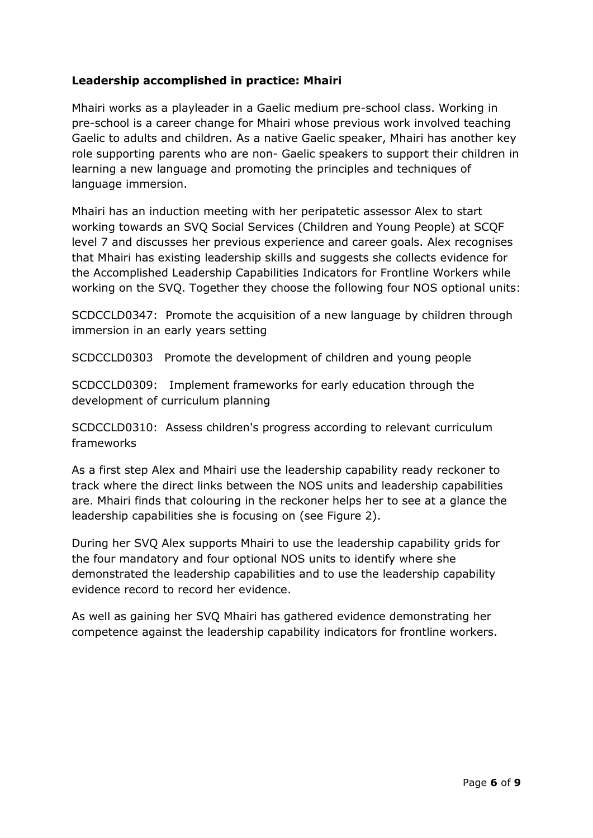## **Leadership accomplished in practice: Mhairi**

Mhairi works as a playleader in a Gaelic medium pre-school class. Working in pre-school is a career change for Mhairi whose previous work involved teaching Gaelic to adults and children. As a native Gaelic speaker, Mhairi has another key role supporting parents who are non- Gaelic speakers to support their children in learning a new language and promoting the principles and techniques of language immersion.

Mhairi has an induction meeting with her peripatetic assessor Alex to start working towards an SVQ Social Services (Children and Young People) at SCQF level 7 and discusses her previous experience and career goals. Alex recognises that Mhairi has existing leadership skills and suggests she collects evidence for the Accomplished Leadership Capabilities Indicators for Frontline Workers while working on the SVQ. Together they choose the following four NOS optional units:

SCDCCLD0347: Promote the acquisition of a new language by children through immersion in an early years setting

SCDCCLD0303 Promote the development of children and young people

SCDCCLD0309: Implement frameworks for early education through the development of curriculum planning

SCDCCLD0310: Assess children's progress according to relevant curriculum frameworks

As a first step Alex and Mhairi use the leadership capability ready reckoner to track where the direct links between the NOS units and leadership capabilities are. Mhairi finds that colouring in the reckoner helps her to see at a glance the leadership capabilities she is focusing on (see Figure 2).

During her SVQ Alex supports Mhairi to use the leadership capability grids for the four mandatory and four optional NOS units to identify where she demonstrated the leadership capabilities and to use the leadership capability evidence record to record her evidence.

As well as gaining her SVQ Mhairi has gathered evidence demonstrating her competence against the leadership capability indicators for frontline workers.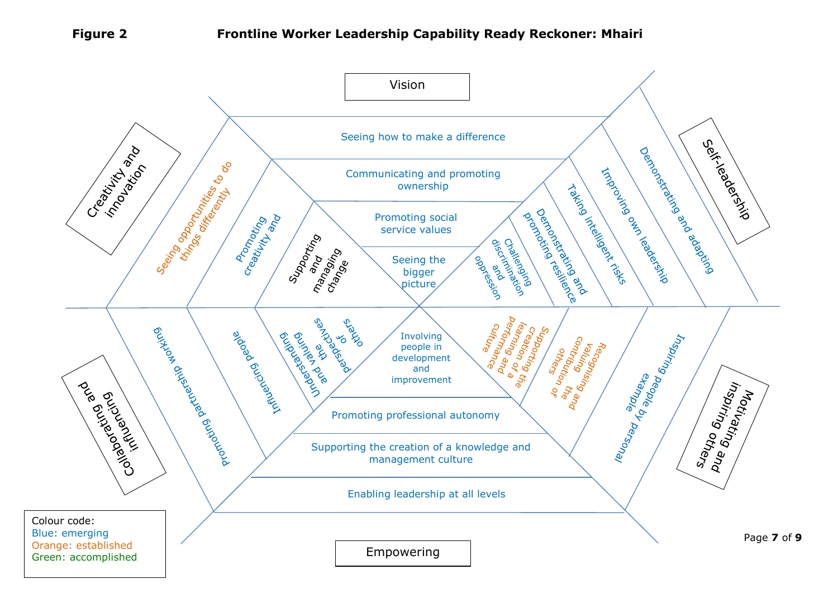### **Figure 2 Frontline Worker Leadership Capability Ready Reckoner: Mhairi**

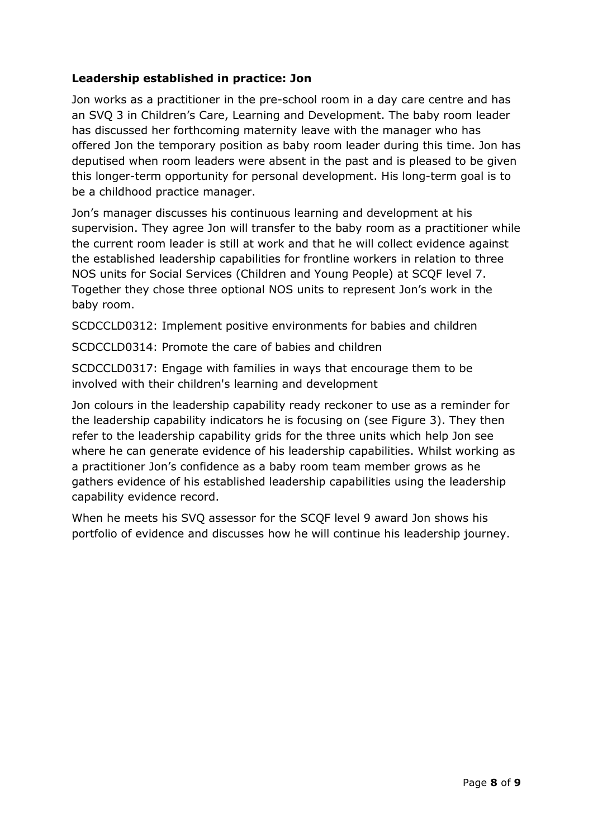## **Leadership established in practice: Jon**

Jon works as a practitioner in the pre-school room in a day care centre and has an SVQ 3 in Children's Care, Learning and Development. The baby room leader has discussed her forthcoming maternity leave with the manager who has offered Jon the temporary position as baby room leader during this time. Jon has deputised when room leaders were absent in the past and is pleased to be given this longer-term opportunity for personal development. His long-term goal is to be a childhood practice manager.

Jon's manager discusses his continuous learning and development at his supervision. They agree Jon will transfer to the baby room as a practitioner while the current room leader is still at work and that he will collect evidence against the established leadership capabilities for frontline workers in relation to three NOS units for Social Services (Children and Young People) at SCQF level 7. Together they chose three optional NOS units to represent Jon's work in the baby room.

SCDCCLD0312: Implement positive environments for babies and children

SCDCCLD0314: Promote the care of babies and children

SCDCCLD0317: Engage with families in ways that encourage them to be involved with their children's learning and development

Jon colours in the leadership capability ready reckoner to use as a reminder for the leadership capability indicators he is focusing on (see Figure 3). They then refer to the leadership capability grids for the three units which help Jon see where he can generate evidence of his leadership capabilities. Whilst working as a practitioner Jon's confidence as a baby room team member grows as he gathers evidence of his established leadership capabilities using the leadership capability evidence record.

When he meets his SVQ assessor for the SCQF level 9 award Jon shows his portfolio of evidence and discusses how he will continue his leadership journey.